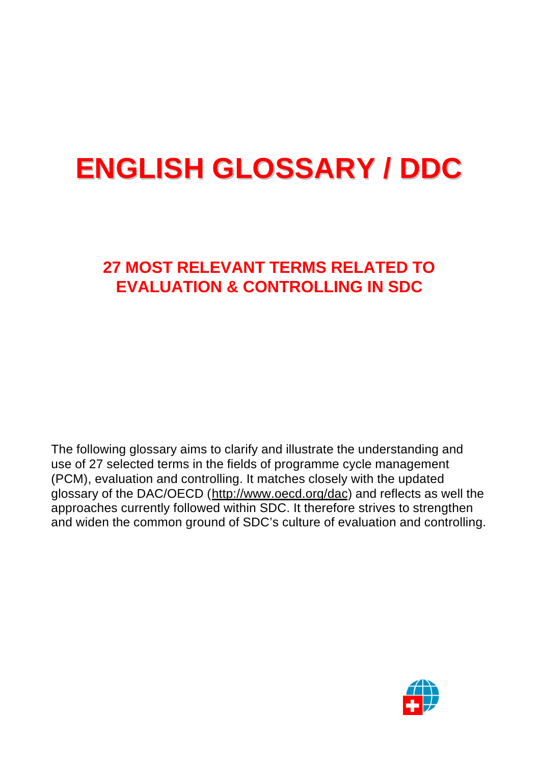# **ENGLISH GLOSSARY / DDC**

# **27 MOST RELEVANT TERMS RELATED TO EVALUATION & CONTROLLING IN SDC**

The following glossary aims to clarify and illustrate the understanding and use of 27 selected terms in the fields of programme cycle management (PCM), evaluation and controlling. It matches closely with the updated glossary of the DAC/OECD (http://www.oecd.org/dac) and reflects as well the approaches currently followed within SDC. It therefore strives to strengthen and widen the common ground of SDC's culture of evaluation and controlling.

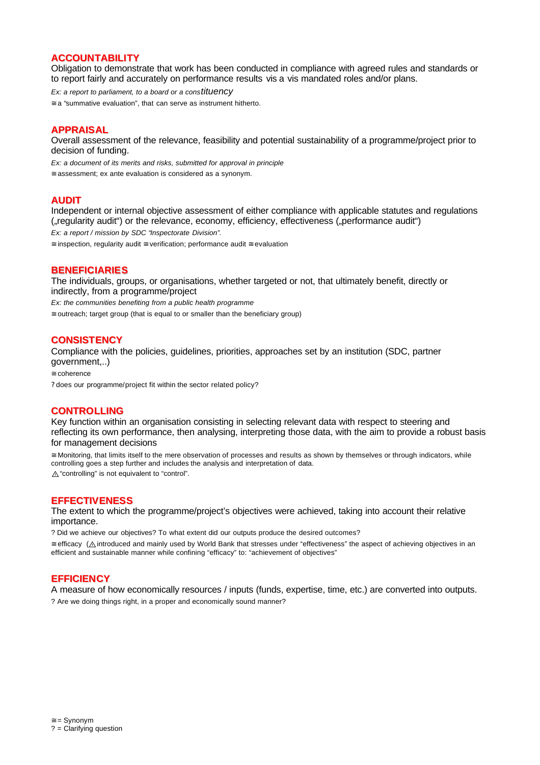# **ACCOUNTABILITY**

Obligation to demonstrate that work has been conducted in compliance with agreed rules and standards or to report fairly and accurately on performance results vis a vis mandated roles and/or plans.

*Ex: a report to parliament, to a board or a constituency*

≅ a "summative evaluation", that can serve as instrument hitherto.

## **APPRAISAL**

Overall assessment of the relevance, feasibility and potential sustainability of a programme/project prior to decision of funding.

*Ex: a document of its merits and risks, submitted for approval in principle*

≅ assessment; ex ante evaluation is considered as a synonym.

#### **AUDIT**

Independent or internal objective assessment of either compliance with applicable statutes and regulations ("regularity audit") or the relevance, economy, efficiency, effectiveness ("performance audit") *Ex: a report / mission by SDC "Inspectorate Division".*

≅ inspection, regularity audit ≅ verification; performance audit ≅ evaluation

#### **BENEFICIARIES**

The individuals, groups, or organisations, whether targeted or not, that ultimately benefit, directly or indirectly, from a programme/project

*Ex: the communities benefiting from a public health programme*

 $\approx$  outreach; target group (that is equal to or smaller than the beneficiary group)

#### **CONSISTENCY**

Compliance with the policies, guidelines, priorities, approaches set by an institution (SDC, partner government,..)

≅ coherence

? does our programme/project fit within the sector related policy?

#### **CONTROLLING**

Key function within an organisation consisting in selecting relevant data with respect to steering and reflecting its own performance, then analysing, interpreting those data, with the aim to provide a robust basis for management decisions

≅ Monitoring, that limits itself to the mere observation of processes and results as shown by themselves or through indicators, while controlling goes a step further and includes the analysis and interpretation of data. A "controlling" is not equivalent to "control".

#### **EFFECTIVENESS**

The extent to which the programme/project's objectives were achieved, taking into account their relative importance.

? Did we achieve our objectives? To what extent did our outputs produce the desired outcomes?

≅ efficacy (U introduced and mainly used by World Bank that stresses under "effectiveness" the aspect of achieving objectives in an efficient and sustainable manner while confining "efficacy" to: "achievement of objectives"

# **EFFICIENCY**

A measure of how economically resources / inputs (funds, expertise, time, etc.) are converted into outputs. ? Are we doing things right, in a proper and economically sound manner?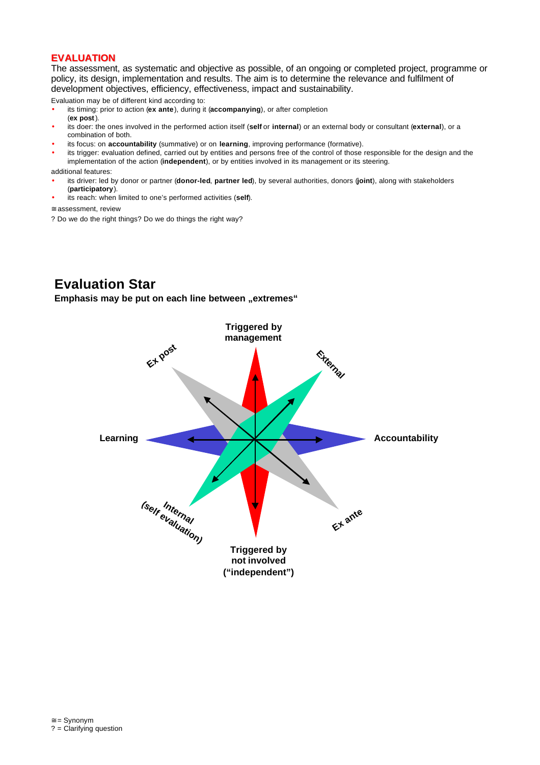# **EVALUATION**

The assessment, as systematic and objective as possible, of an ongoing or completed project, programme or policy, its design, implementation and results. The aim is to determine the relevance and fulfilment of development objectives, efficiency, effectiveness, impact and sustainability.

Evaluation may be of different kind according to:

- its timing: prior to action (**ex ante**), during it (**accompanying**), or after completion (**ex post**).
- its doer: the ones involved in the performed action itself (**self** or **internal**) or an external body or consultant (**external**), or a combination of both.
- its focus: on **accountability** (summative) or on **learning**, improving performance (formative).
- its trigger: evaluation defined, carried out by entities and persons free of the control of those responsible for the design and the implementation of the action (**independent**), or by entities involved in its management or its steering.

additional features:

- its driver: led by donor or partner (**donor-led**, **partner led**), by several authorities, donors (**joint**), along with stakeholders (**participatory**).
- its reach: when limited to one's performed activities (**self**).

≅ assessment, review

? Do we do the right things? Do we do things the right way?

# **Evaluation Star**

**Emphasis may be put on each line between "extremes"** 

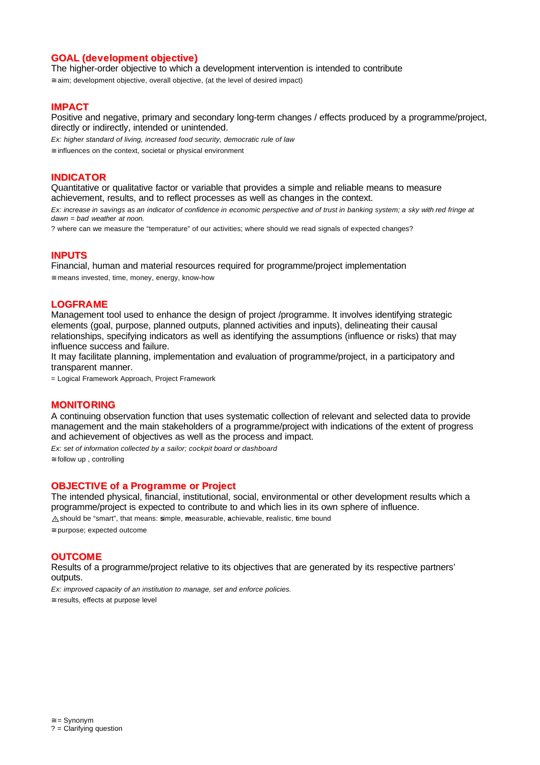# **GOAL (development objective)**

The higher-order objective to which a development intervention is intended to contribute

≅ aim; development objective, overall objective, (at the level of desired impact)

#### **IMPACT**

Positive and negative, primary and secondary long-term changes / effects produced by a programme/project, directly or indirectly, intended or unintended.

*Ex: higher standard of living, increased food security, democratic rule of law*

≅ influences on the context, societal or physical environment

## **INDICATOR**

Quantitative or qualitative factor or variable that provides a simple and reliable means to measure achievement, results, and to reflect processes as well as changes in the context.

*Ex: increase in savings as an indicator of confidence in economic perspective and of trust in banking system; a sky with red fringe at dawn = bad weather at noon.*

? where can we measure the "temperature" of our activities; where should we read signals of expected changes?

#### **INPUTS**

Financial, human and material resources required for programme/project implementation ≅ means invested, time, money, energy, know-how

#### **LOGFRAME**

Management tool used to enhance the design of project /programme. It involves identifying strategic elements (goal, purpose, planned outputs, planned activities and inputs), delineating their causal relationships, specifying indicators as well as identifying the assumptions (influence or risks) that may influence success and failure.

It may facilitate planning, implementation and evaluation of programme/project, in a participatory and transparent manner.

= Logical Framework Approach, Project Framework

#### **MONITORING**

A continuing observation function that uses systematic collection of relevant and selected data to provide management and the main stakeholders of a programme/project with indications of the extent of progress and achievement of objectives as well as the process and impact.

*Ex: set of information collected by a sailor; cockpit board or dashboard*  $\cong$  follow up, controlling

#### **OBJECTIVE of a Programme or Project**

The intended physical, financial, institutional, social, environmental or other development results which a programme/project is expected to contribute to and which lies in its own sphere of influence. U should be "smart", that means: **s**imple, **m**easurable, **a**chievable, **r**ealistic, **t**ime bound

≅ purpose; expected outcome

#### **OUTCOME**

Results of a programme/project relative to its objectives that are generated by its respective partners' outputs.

*Ex: improved capacity of an institution to manage, set and enforce policies.* ≅ results, effects at purpose level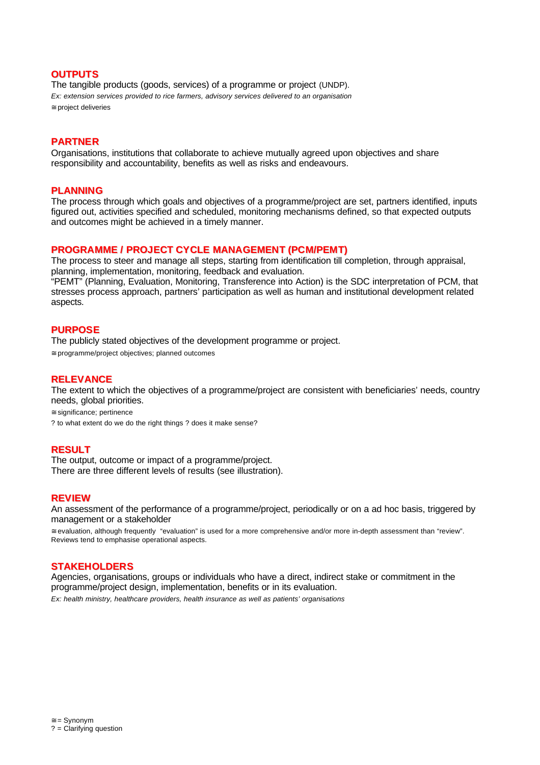# **OUTPUTS**

The tangible products (goods, services) of a programme or project (UNDP). *Ex: extension services provided to rice farmers, advisory services delivered to an organisation* ≅ project deliveries

#### **PARTNER**

Organisations, institutions that collaborate to achieve mutually agreed upon objectives and share responsibility and accountability, benefits as well as risks and endeavours.

#### **PLANNING**

The process through which goals and objectives of a programme/project are set, partners identified, inputs figured out, activities specified and scheduled, monitoring mechanisms defined, so that expected outputs and outcomes might be achieved in a timely manner.

#### **PROGRAMME / PROJECT CYCLE MANAGEMENT (PCM/PEMT)**

The process to steer and manage all steps, starting from identification till completion, through appraisal, planning, implementation, monitoring, feedback and evaluation.

"PEMT" (Planning, Evaluation, Monitoring, Transference into Action) is the SDC interpretation of PCM, that stresses process approach, partners' participation as well as human and institutional development related aspects.

# **PURPOSE**

The publicly stated objectives of the development programme or project.

≅ programme/project objectives; planned outcomes

#### **RELEVANCE**

The extent to which the objectives of a programme/project are consistent with beneficiaries' needs, country needs, global priorities.

≅ significance; pertinence

? to what extent do we do the right things ? does it make sense?

# **RESULT**

The output, outcome or impact of a programme/project. There are three different levels of results (see illustration).

#### **REVIEW**

An assessment of the performance of a programme/project, periodically or on a ad hoc basis, triggered by management or a stakeholder

≅ evaluation, although frequently "evaluation" is used for a more comprehensive and/or more in-depth assessment than "review". Reviews tend to emphasise operational aspects.

# **STAKEHOLDERS**

Agencies, organisations, groups or individuals who have a direct, indirect stake or commitment in the programme/project design, implementation, benefits or in its evaluation.

*Ex: health ministry, healthcare providers, health insurance as well as patients' organisations*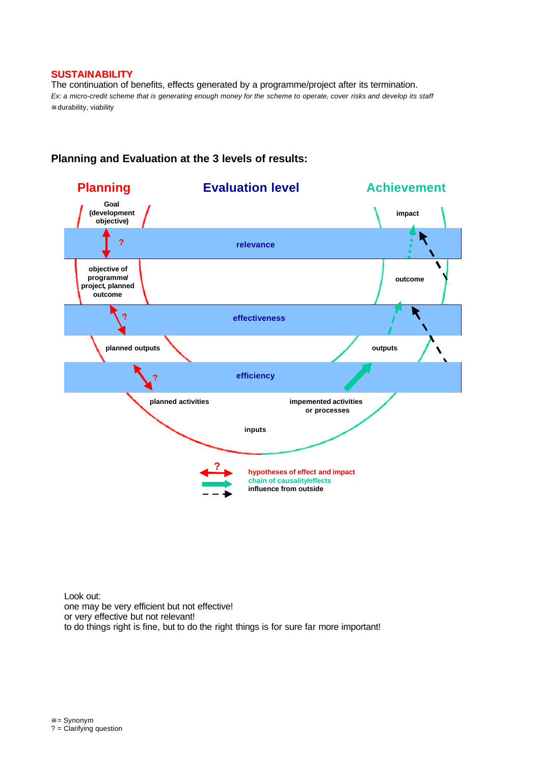# **SUSTAINABILITY**

The continuation of benefits, effects generated by a programme/project after its termination. *Ex: a micro-credit scheme that is generating enough money for the scheme to operate, cover risks and develop its staff* ≅ durability, viability



# **Planning and Evaluation at the 3 levels of results:**

Look out: one may be very efficient but not effective! or very effective but not relevant! to do things right is fine, but to do the right things is for sure far more important!